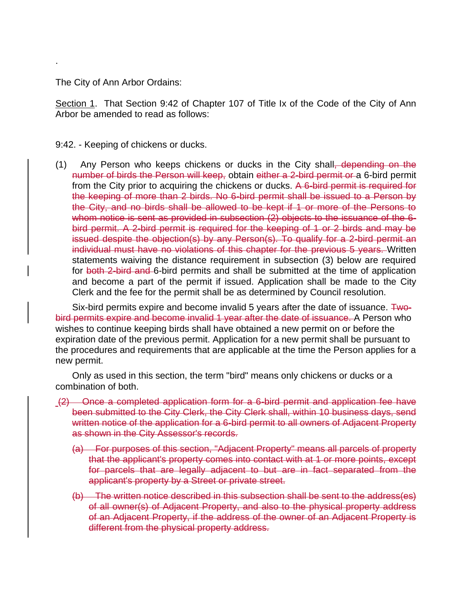The City of Ann Arbor Ordains:

.

Section 1. That Section 9:42 of Chapter 107 of Title Ix of the Code of the City of Ann Arbor be amended to read as follows:

9:42. - Keeping of chickens or ducks.

(1) Any Person who keeps chickens or ducks in the City shall, depending on the number of birds the Person will keep, obtain either a 2-bird permit or a 6-bird permit from the City prior to acquiring the chickens or ducks. A 6-bird permit is required for the keeping of more than 2 birds. No 6-bird permit shall be issued to a Person by the City, and no birds shall be allowed to be kept if 1 or more of the Persons to whom notice is sent as provided in subsection (2) objects to the issuance of the 6bird permit. A 2-bird permit is required for the keeping of 1 or 2 birds and may be issued despite the objection(s) by any Person(s). To qualify for a 2-bird permit an individual must have no violations of this chapter for the previous 5 years. Written statements waiving the distance requirement in subsection (3) below are required for both 2-bird and 6-bird permits and shall be submitted at the time of application and become a part of the permit if issued. Application shall be made to the City Clerk and the fee for the permit shall be as determined by Council resolution.

Six-bird permits expire and become invalid 5 years after the date of issuance. Twobird permits expire and become invalid 1 year after the date of issuance. A Person who wishes to continue keeping birds shall have obtained a new permit on or before the expiration date of the previous permit. Application for a new permit shall be pursuant to the procedures and requirements that are applicable at the time the Person applies for a new permit.

Only as used in this section, the term "bird" means only chickens or ducks or a combination of both.

- (2) Once a completed application form for a 6-bird permit and application fee have been submitted to the City Clerk, the City Clerk shall, within 10 business days, send written notice of the application for a 6-bird permit to all owners of Adjacent Property as shown in the City Assessor's records.
	- (a) For purposes of this section, "Adjacent Property" means all parcels of property that the applicant's property comes into contact with at 1 or more points, except for parcels that are legally adjacent to but are in fact separated from the applicant's property by a Street or private street.
	- (b) The written notice described in this subsection shall be sent to the address(es) of all owner(s) of Adjacent Property, and also to the physical property address of an Adjacent Property, if the address of the owner of an Adjacent Property is different from the physical property address.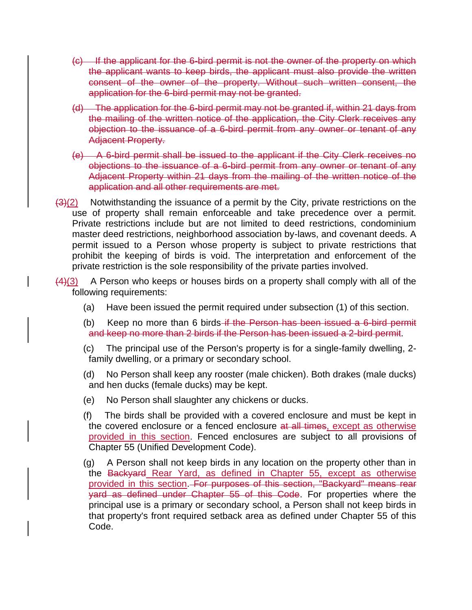- (c) If the applicant for the 6-bird permit is not the owner of the property on which the applicant wants to keep birds, the applicant must also provide the written consent of the owner of the property. Without such written consent, the application for the 6-bird permit may not be granted.
- (d) The application for the 6-bird permit may not be granted if, within 21 days from the mailing of the written notice of the application, the City Clerk receives any objection to the issuance of a 6-bird permit from any owner or tenant of any Adjacent Property.
- (e) A 6-bird permit shall be issued to the applicant if the City Clerk receives no objections to the issuance of a 6-bird permit from any owner or tenant of any Adjacent Property within 21 days from the mailing of the written notice of the application and all other requirements are met.
- $\frac{1}{2}(2)$  Notwithstanding the issuance of a permit by the City, private restrictions on the use of property shall remain enforceable and take precedence over a permit. Private restrictions include but are not limited to deed restrictions, condominium master deed restrictions, neighborhood association by-laws, and covenant deeds. A permit issued to a Person whose property is subject to private restrictions that prohibit the keeping of birds is void. The interpretation and enforcement of the private restriction is the sole responsibility of the private parties involved.

 $\frac{(4)(3)}{4}$  A Person who keeps or houses birds on a property shall comply with all of the following requirements:

- (a) Have been issued the permit required under subsection (1) of this section.
- (b) Keep no more than 6 birds if the Person has been issued a 6-bird permit and keep no more than 2 birds if the Person has been issued a 2-bird permit.
- (c) The principal use of the Person's property is for a single-family dwelling, 2 family dwelling, or a primary or secondary school.
- (d) No Person shall keep any rooster (male chicken). Both drakes (male ducks) and hen ducks (female ducks) may be kept.
- (e) No Person shall slaughter any chickens or ducks.
- (f) The birds shall be provided with a covered enclosure and must be kept in the covered enclosure or a fenced enclosure at all times, except as otherwise provided in this section. Fenced enclosures are subject to all provisions of Chapter 55 (Unified Development Code).
- (g) A Person shall not keep birds in any location on the property other than in the Backyard Rear Yard, as defined in Chapter 55, except as otherwise provided in this section. For purposes of this section, "Backyard" means rear yard as defined under Chapter 55 of this Code. For properties where the principal use is a primary or secondary school, a Person shall not keep birds in that property's front required setback area as defined under Chapter 55 of this Code.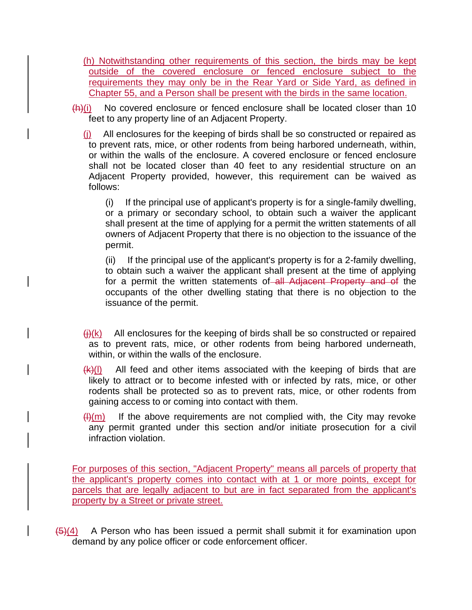(h) Notwithstanding other requirements of this section, the birds may be kept outside of the covered enclosure or fenced enclosure subject to the requirements they may only be in the Rear Yard or Side Yard, as defined in Chapter 55, and a Person shall be present with the birds in the same location.

 $(h)(i)$  No covered enclosure or fenced enclosure shall be located closer than 10 feet to any property line of an Adjacent Property.

(j) All enclosures for the keeping of birds shall be so constructed or repaired as to prevent rats, mice, or other rodents from being harbored underneath, within, or within the walls of the enclosure. A covered enclosure or fenced enclosure shall not be located closer than 40 feet to any residential structure on an Adjacent Property provided, however, this requirement can be waived as follows:

(i) If the principal use of applicant's property is for a single-family dwelling, or a primary or secondary school, to obtain such a waiver the applicant shall present at the time of applying for a permit the written statements of all owners of Adjacent Property that there is no objection to the issuance of the permit.

(ii) If the principal use of the applicant's property is for a 2-family dwelling, to obtain such a waiver the applicant shall present at the time of applying for a permit the written statements of all Adjacent Property and of the occupants of the other dwelling stating that there is no objection to the issuance of the permit.

- $(H)(k)$  All enclosures for the keeping of birds shall be so constructed or repaired as to prevent rats, mice, or other rodents from being harbored underneath, within, or within the walls of the enclosure.
- $(k)(l)$  All feed and other items associated with the keeping of birds that are likely to attract or to become infested with or infected by rats, mice, or other rodents shall be protected so as to prevent rats, mice, or other rodents from gaining access to or coming into contact with them.
- $\frac{H(m)}{m}$  If the above requirements are not complied with, the City may revoke any permit granted under this section and/or initiate prosecution for a civil infraction violation.

For purposes of this section, "Adjacent Property" means all parcels of property that the applicant's property comes into contact with at 1 or more points, except for parcels that are legally adjacent to but are in fact separated from the applicant's property by a Street or private street.

 $(5)(4)$  A Person who has been issued a permit shall submit it for examination upon demand by any police officer or code enforcement officer.